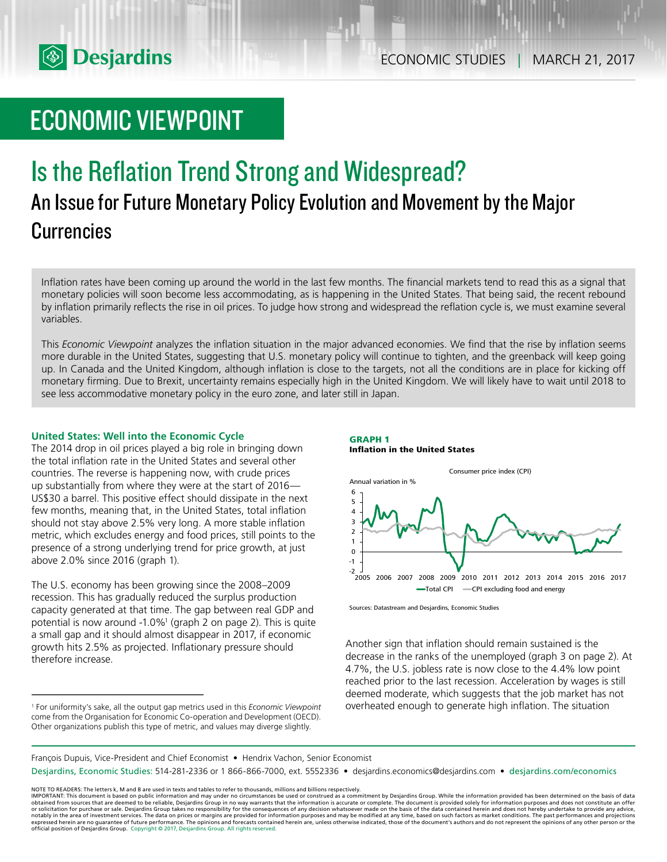

# ECONOMIC VIEWPOINT

# Is the Reflation Trend Strong and Widespread? An Issue for Future Monetary Policy Evolution and Movement by the Major **Currencies**

Inflation rates have been coming up around the world in the last few months. The financial markets tend to read this as a signal that monetary policies will soon become less accommodating, as is happening in the United States. That being said, the recent rebound by inflation primarily reflects the rise in oil prices. To judge how strong and widespread the reflation cycle is, we must examine several variables.

This *Economic Viewpoint* analyzes the inflation situation in the major advanced economies. We find that the rise by inflation seems more durable in the United States, suggesting that U.S. monetary policy will continue to tighten, and the greenback will keep going up. In Canada and the United Kingdom, although inflation is close to the targets, not all the conditions are in place for kicking off monetary firming. Due to Brexit, uncertainty remains especially high in the United Kingdom. We will likely have to wait until 2018 to see less accommodative monetary policy in the euro zone, and later still in Japan.

# **United States: Well into the Economic Cycle**

The 2014 drop in oil prices played a big role in bringing down the total inflation rate in the United States and several other countries. The reverse is happening now, with crude prices up substantially from where they were at the start of 2016— US\$30 a barrel. This positive effect should dissipate in the next few months, meaning that, in the United States, total inflation should not stay above 2.5% very long. A more stable inflation metric, which excludes energy and food prices, still points to the presence of a strong underlying trend for price growth, at just above 2.0% since 2016 (graph 1).

The U.S. economy has been growing since the 2008–2009 recession. This has gradually reduced the surplus production capacity generated at that time. The gap between real GDP and potential is now around -1.0%<sup>1</sup> (graph 2 on page 2). This is quite a small gap and it should almost disappear in 2017, if economic growth hits 2.5% as projected. Inflationary pressure should therefore increase.

**GRAPH 1 Inflation in the United States**



Sources: Datastream and Desjardins, Economic Studies

Another sign that inflation should remain sustained is the decrease in the ranks of the unemployed (graph 3 on page 2). At 4.7%, the U.S. jobless rate is now close to the 4.4% low point reached prior to the last recession. Acceleration by wages is still deemed moderate, which suggests that the job market has not overheated enough to generate high inflation. The situation

#### François Dupuis, Vice-President and Chief Economist • Hendrix Vachon, Senior Economist

Desjardins, Economic Studies: 514-281-2336 or 1 866-866-7000, ext. 5552336 • desjardins.economics@desjardins.com • desjardins.com/economics

<sup>1</sup> For uniformity's sake, all the output gap metrics used in this *Economic Viewpoint* come from the Organisation for Economic Co-operation and Development (OECD). Other organizations publish this type of metric, and values may diverge slightly.

NOTE TO READERS: The letters k, M and B are used in texts and tables to refer to thousands, millions and billions respectively.<br>IMPORTANT: This document is based on public information and may under no circumstances be used obtained from sources that are deemed to be reliable, Desjardins Group in no way warrants that the information is accurate or complete. The document is provided solely for information purposes and does not constitute an of expressed herein are no guarantee of future performance. The opinions and forecasts contained herein are, unless otherwise indicated, those of the document's authors and do not represent the opinions of any other person or official position of Desjardins Group. Copyright © 2017, Desjardins Group. All rights reserved.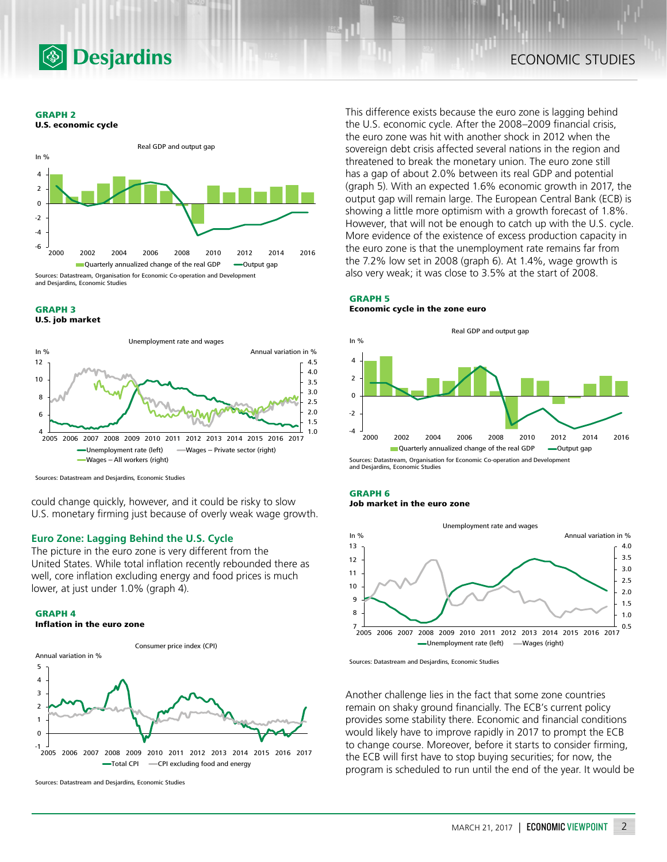

**GRAPH 2**





#### **GRAPH 3 U.S. job market**



Sources: Datastream and Desjardins, Economic Studies

could change quickly, however, and it could be risky to slow U.S. monetary firming just because of overly weak wage growth.

# **Euro Zone: Lagging Behind the U.S. Cycle**

The picture in the euro zone is very different from the United States. While total inflation recently rebounded there as well, core inflation excluding energy and food prices is much lower, at just under 1.0% (graph 4).

#### **GRAPH 4**





Sources: Datastream and Desjardins, Economic Studies

This difference exists because the euro zone is lagging behind the U.S. economic cycle. After the 2008–2009 financial crisis, the euro zone was hit with another shock in 2012 when the sovereign debt crisis affected several nations in the region and threatened to break the monetary union. The euro zone still has a gap of about 2.0% between its real GDP and potential (graph 5). With an expected 1.6% economic growth in 2017, the output gap will remain large. The European Central Bank (ECB) is showing a little more optimism with a growth forecast of 1.8%. However, that will not be enough to catch up with the U.S. cycle. More evidence of the existence of excess production capacity in the euro zone is that the unemployment rate remains far from the 7.2% low set in 2008 (graph 6). At 1.4%, wage growth is also very weak; it was close to 3.5% at the start of 2008.

## **GRAPH 5 Economic cycle in the zone euro**



and Desjardins, Economic Studies

# **GRAPH 6 Job market in the euro zone**



Sources: Datastream and Desjardins, Economic Studies

Another challenge lies in the fact that some zone countries remain on shaky ground financially. The ECB's current policy provides some stability there. Economic and financial conditions would likely have to improve rapidly in 2017 to prompt the ECB to change course. Moreover, before it starts to consider firming, the ECB will first have to stop buying securities; for now, the program is scheduled to run until the end of the year. It would be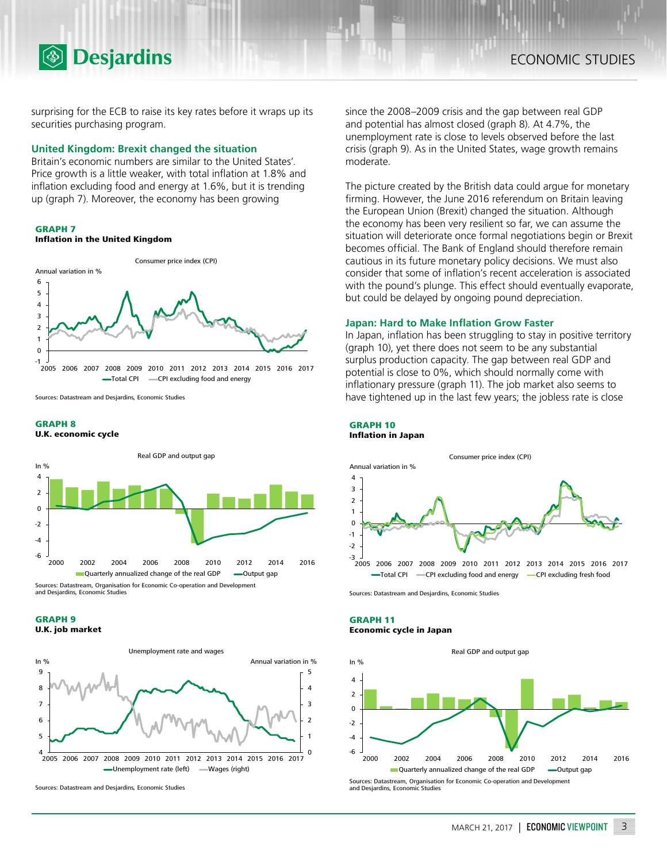

surprising for the ECB to raise its key rates before it wraps up its securities purchasing program.

## **United Kingdom: Brexit changed the situation**

Britain's economic numbers are similar to the United States'. Price growth is a little weaker, with total inflation at 1.8% and inflation excluding food and energy at 1.6%, but it is trending up (graph 7). Moreover, the economy has been growing



# **Inflation in the United Kingdom**



Sources: Datastream and Desjardins, Economic Studies

### **GRAPH 8**

**U.K. economic cycle**



and Desjardins, Economic Studies





Sources: Datastream and Desjardins, Economic Studies

since the 2008–2009 crisis and the gap between real GDP and potential has almost closed (graph 8). At 4.7%, the unemployment rate is close to levels observed before the last crisis (graph 9). As in the United States, wage growth remains moderate.

The picture created by the British data could argue for monetary firming. However, the June 2016 referendum on Britain leaving the European Union (Brexit) changed the situation. Although the economy has been very resilient so far, we can assume the situation will deteriorate once formal negotiations begin or Brexit becomes official. The Bank of England should therefore remain cautious in its future monetary policy decisions. We must also consider that some of inflation's recent acceleration is associated with the pound's plunge. This effect should eventually evaporate, but could be delayed by ongoing pound depreciation.

### **Japan: Hard to Make Inflation Grow Faster**

In Japan, inflation has been struggling to stay in positive territory (graph 10), yet there does not seem to be any substantial surplus production capacity. The gap between real GDP and potential is close to 0%, which should normally come with inflationary pressure (graph 11). The job market also seems to have tightened up in the last few years; the jobless rate is close

#### **GRAPH 10 Inflation in Japan**



Sources: Datastream and Desjardins, Economic Studies

#### **GRAPH 11 Economic cycle in Japan**

Real GDP and output gap

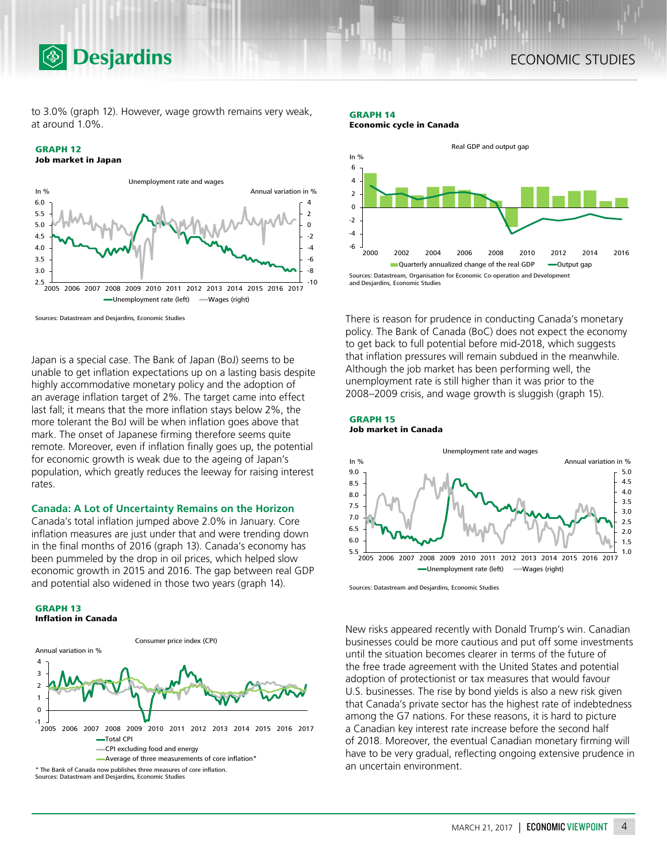to 3.0% (graph 12). However, wage growth remains very weak, at around 1.0%.

# **GRAPH 12**



Sources: Datastream and Desjardins, Economic Studies

**<b>Desjardins** 

Japan is a special case. The Bank of Japan (BoJ) seems to be unable to get inflation expectations up on a lasting basis despite highly accommodative monetary policy and the adoption of an average inflation target of 2%. The target came into effect last fall; it means that the more inflation stays below 2%, the more tolerant the BoJ will be when inflation goes above that mark. The onset of Japanese firming therefore seems quite remote. Moreover, even if inflation finally goes up, the potential for economic growth is weak due to the ageing of Japan's population, which greatly reduces the leeway for raising interest rates.

# **Canada: A Lot of Uncertainty Remains on the Horizon**

Canada's total inflation jumped above 2.0% in January. Core inflation measures are just under that and were trending down in the final months of 2016 (graph 13). Canada's economy has been pummeled by the drop in oil prices, which helped slow economic growth in 2015 and 2016. The gap between real GDP and potential also widened in those two years (graph 14).



Sources: Datastream and Desjardins, Economic Studies

**GRAPH 13**

#### **GRAPH 14 Economic cycle in Canada**



There is reason for prudence in conducting Canada's monetary policy. The Bank of Canada (BoC) does not expect the economy to get back to full potential before mid-2018, which suggests that inflation pressures will remain subdued in the meanwhile. Although the job market has been performing well, the unemployment rate is still higher than it was prior to the 2008–2009 crisis, and wage growth is sluggish (graph 15).

## **GRAPH 15 Job market in Canada**



Sources: Datastream and Desjardins, Economic Studies

New risks appeared recently with Donald Trump's win. Canadian businesses could be more cautious and put off some investments until the situation becomes clearer in terms of the future of the free trade agreement with the United States and potential adoption of protectionist or tax measures that would favour U.S. businesses. The rise by bond yields is also a new risk given that Canada's private sector has the highest rate of indebtedness among the G7 nations. For these reasons, it is hard to picture a Canadian key interest rate increase before the second half of 2018. Moreover, the eventual Canadian monetary firming will have to be very gradual, reflecting ongoing extensive prudence in an uncertain environment.